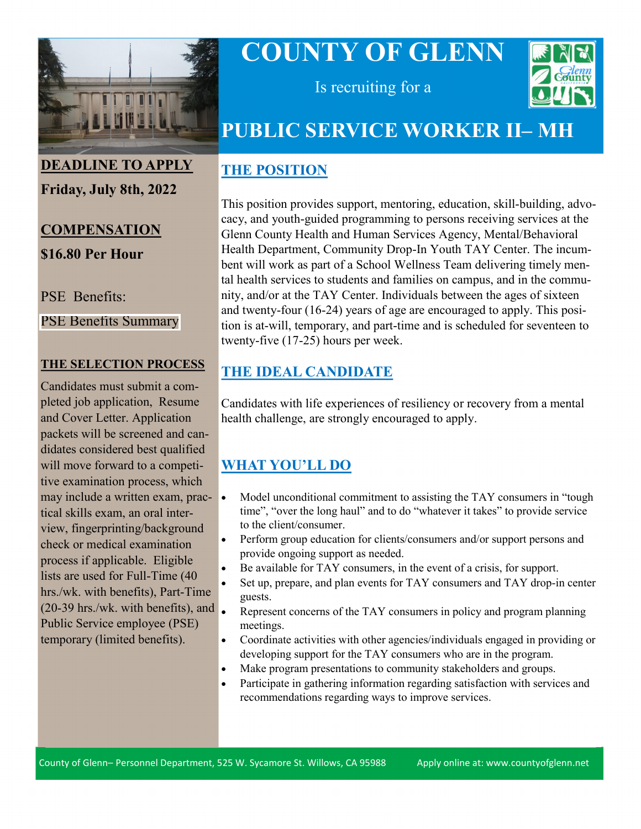

# **COUNTY OF GLENN**



Is recruiting for a

## **PUBLIC SERVICE WORKER II– MH**

#### **THE POSITION**

This position provides support, mentoring, education, skill-building, advocacy, and youth-guided programming to persons receiving services at the Glenn County Health and Human Services Agency, Mental/Behavioral Health Department, Community Drop-In Youth TAY Center. The incumbent will work as part of a School Wellness Team delivering timely mental health services to students and families on campus, and in the community, and/or at the TAY Center. Individuals between the ages of sixteen and twenty-four (16-24) years of age are encouraged to apply. This position is at-will, temporary, and part-time and is scheduled for seventeen to twenty-five (17-25) hours per week.

#### **THE IDEAL CANDIDATE**

Candidates with life experiences of resiliency or recovery from a mental health challenge, are strongly encouraged to apply.

### **WHAT YOU'LL DO**

- Model unconditional commitment to assisting the TAY consumers in "tough time", "over the long haul" and to do "whatever it takes" to provide service to the client/consumer.
- Perform group education for clients/consumers and/or support persons and provide ongoing support as needed.
- Be available for TAY consumers, in the event of a crisis, for support.
- Set up, prepare, and plan events for TAY consumers and TAY drop-in center guests.
- Represent concerns of the TAY consumers in policy and program planning meetings.
- Coordinate activities with other agencies/individuals engaged in providing or developing support for the TAY consumers who are in the program.
- Make program presentations to community stakeholders and groups.
- Participate in gathering information regarding satisfaction with services and recommendations regarding ways to improve services.

## **DEADLINE TO APPLY**

**Friday, July 8th, 2022**

### **COMPENSATION \$16.80 Per Hour**

PSE Benefits:

[PSE Benefits Summary](https://www.countyofglenn.net/sites/default/files/Personnel/MOU/GCPERL%2013-%20PSE.pdf)

#### **THE SELECTION PROCESS**

Candidates must submit a completed job application, Resume and Cover Letter. Application packets will be screened and candidates considered best qualified will move forward to a competitive examination process, which may include a written exam, practical skills exam, an oral interview, fingerprinting/background check or medical examination process if applicable. Eligible lists are used for Full-Time (40 hrs./wk. with benefits), Part-Time (20-39 hrs./wk. with benefits), and Public Service employee (PSE) temporary (limited benefits).